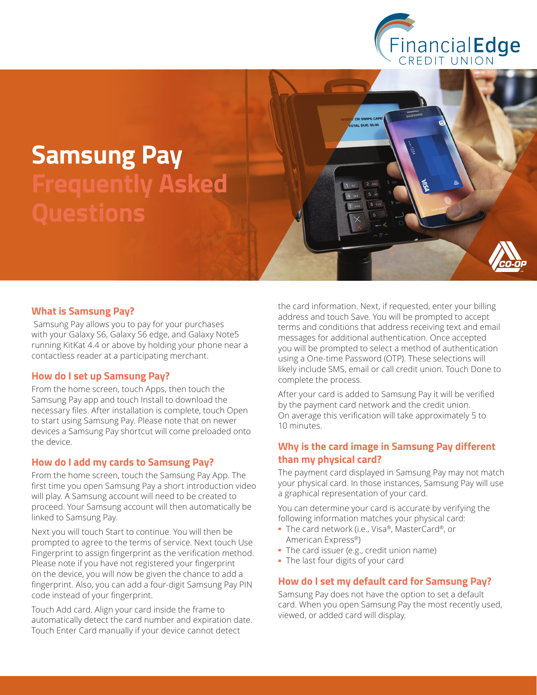

# **Samsung Pay Frequently Asked Questions**

#### **What is Samsung Pay?**

 Samsung Pay allows you to pay for your purchases with your Galaxy S6, Galaxy S6 edge, and Galaxy Note5 running KitKat 4.4 or above by holding your phone near a contactless reader at a participating merchant.

#### **How do I set up Samsung Pay?**

From the home screen, touch Apps, then touch the Samsung Pay app and touch Install to download the necessary files. After installation is complete, touch Open to start using Samsung Pay. Please note that on newer devices a Samsung Pay shortcut will come preloaded onto the device.

#### **How do I add my cards to Samsung Pay?**

From the home screen, touch the Samsung Pay App. The first time you open Samsung Pay a short introduction video will play. A Samsung account will need to be created to proceed. Your Samsung account will then automatically be linked to Samsung Pay.

Next you will touch Start to continue. You will then be prompted to agree to the terms of service. Next touch Use Fingerprint to assign fingerprint as the verification method. Please note if you have not registered your fingerprint on the device, you will now be given the chance to add a fingerprint. Also, you can add a four-digit Samsung Pay PIN code instead of your fingerprint.

Touch Add card. Align your card inside the frame to automatically detect the card number and expiration date. Touch Enter Card manually if your device cannot detect

the card information. Next, if requested, enter your billing address and touch Save. You will be prompted to accept terms and conditions that address receiving text and email messages for additional authentication. Once accepted you will be prompted to select a method of authentication using a One-time Password (OTP). These selections will likely include SMS, email or call credit union. Touch Done to complete the process.

After your card is added to Samsung Pay it will be verified by the payment card network and the credit union. On average this verification will take approximately 5 to 10 minutes.

## **Why is the card image in Samsung Pay different than my physical card?**

The payment card displayed in Samsung Pay may not match your physical card. In those instances, Samsung Pay will use a graphical representation of your card.

You can determine your card is accurate by verifying the following information matches your physical card:

- The card network (i.e., Visa®, MasterCard®, or American Express®)
- The card issuer (e.g., credit union name)
- The last four digits of your card

#### **How do I set my default card for Samsung Pay?**

Samsung Pay does not have the option to set a default card. When you open Samsung Pay the most recently used, viewed, or added card will display.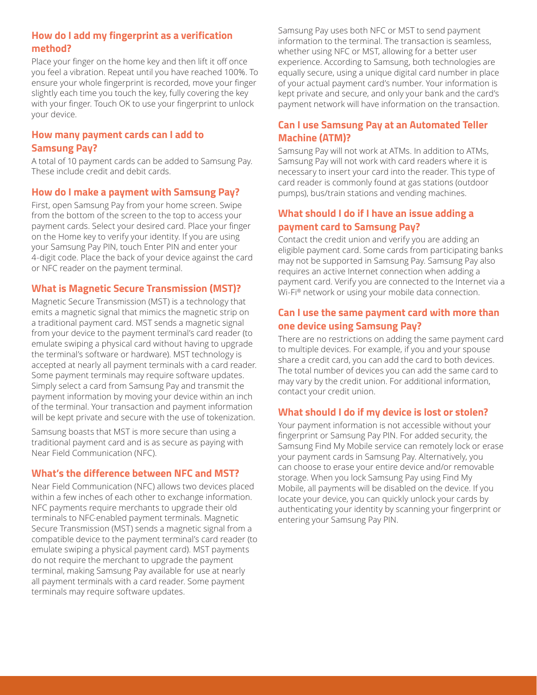## **How do I add my fingerprint as a verification method?**

Place your finger on the home key and then lift it off once you feel a vibration. Repeat until you have reached 100%. To ensure your whole fingerprint is recorded, move your finger slightly each time you touch the key, fully covering the key with your finger. Touch OK to use your fingerprint to unlock your device.

## **How many payment cards can I add to Samsung Pay?**

A total of 10 payment cards can be added to Samsung Pay. These include credit and debit cards.

#### **How do I make a payment with Samsung Pay?**

First, open Samsung Pay from your home screen. Swipe from the bottom of the screen to the top to access your payment cards. Select your desired card. Place your finger on the Home key to verify your identity. If you are using your Samsung Pay PIN, touch Enter PIN and enter your 4-digit code. Place the back of your device against the card or NFC reader on the payment terminal.

#### **What is Magnetic Secure Transmission (MST)?**

Magnetic Secure Transmission (MST) is a technology that emits a magnetic signal that mimics the magnetic strip on a traditional payment card. MST sends a magnetic signal from your device to the payment terminal's card reader (to emulate swiping a physical card without having to upgrade the terminal's software or hardware). MST technology is accepted at nearly all payment terminals with a card reader. Some payment terminals may require software updates. Simply select a card from Samsung Pay and transmit the payment information by moving your device within an inch of the terminal. Your transaction and payment information will be kept private and secure with the use of tokenization.

Samsung boasts that MST is more secure than using a traditional payment card and is as secure as paying with Near Field Communication (NFC).

#### **What's the difference between NFC and MST?**

Near Field Communication (NFC) allows two devices placed within a few inches of each other to exchange information. NFC payments require merchants to upgrade their old terminals to NFC-enabled payment terminals. Magnetic Secure Transmission (MST) sends a magnetic signal from a compatible device to the payment terminal's card reader (to emulate swiping a physical payment card). MST payments do not require the merchant to upgrade the payment terminal, making Samsung Pay available for use at nearly all payment terminals with a card reader. Some payment terminals may require software updates.

Samsung Pay uses both NFC or MST to send payment information to the terminal. The transaction is seamless, whether using NFC or MST, allowing for a better user experience. According to Samsung, both technologies are equally secure, using a unique digital card number in place of your actual payment card's number. Your information is kept private and secure, and only your bank and the card's payment network will have information on the transaction.

## **Can I use Samsung Pay at an Automated Teller Machine (ATM)?**

Samsung Pay will not work at ATMs. In addition to ATMs, Samsung Pay will not work with card readers where it is necessary to insert your card into the reader. This type of card reader is commonly found at gas stations (outdoor pumps), bus/train stations and vending machines.

# **What should I do if I have an issue adding a payment card to Samsung Pay?**

Contact the credit union and verify you are adding an eligible payment card. Some cards from participating banks may not be supported in Samsung Pay. Samsung Pay also requires an active Internet connection when adding a payment card. Verify you are connected to the Internet via a Wi-Fi® network or using your mobile data connection.

## **Can I use the same payment card with more than one device using Samsung Pay?**

There are no restrictions on adding the same payment card to multiple devices. For example, if you and your spouse share a credit card, you can add the card to both devices. The total number of devices you can add the same card to may vary by the credit union. For additional information, contact your credit union.

## **What should I do if my device is lost or stolen?**

Your payment information is not accessible without your fingerprint or Samsung Pay PIN. For added security, the Samsung Find My Mobile service can remotely lock or erase your payment cards in Samsung Pay. Alternatively, you can choose to erase your entire device and/or removable storage. When you lock Samsung Pay using Find My Mobile, all payments will be disabled on the device. If you locate your device, you can quickly unlock your cards by authenticating your identity by scanning your fingerprint or entering your Samsung Pay PIN.